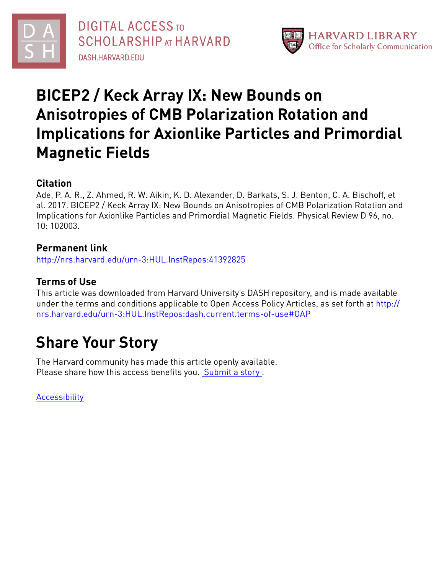

**DIGITAL ACCESS TO SCHOLARSHIP AT HARVARD** DASH.HARVARD.EDU



## **BICEP2 / Keck Array IX: New Bounds on Anisotropies of CMB Polarization Rotation and Implications for Axionlike Particles and Primordial Magnetic Fields**

#### **Citation**

Ade, P. A. R., Z. Ahmed, R. W. Aikin, K. D. Alexander, D. Barkats, S. J. Benton, C. A. Bischoff, et al. 2017. BICEP2 / Keck Array IX: New Bounds on Anisotropies of CMB Polarization Rotation and Implications for Axionlike Particles and Primordial Magnetic Fields. Physical Review D 96, no. 10: 102003.

### **Permanent link**

<http://nrs.harvard.edu/urn-3:HUL.InstRepos:41392825>

### **Terms of Use**

This article was downloaded from Harvard University's DASH repository, and is made available under the terms and conditions applicable to Open Access Policy Articles, as set forth at [http://](http://nrs.harvard.edu/urn-3:HUL.InstRepos:dash.current.terms-of-use#OAP) [nrs.harvard.edu/urn-3:HUL.InstRepos:dash.current.terms-of-use#OAP](http://nrs.harvard.edu/urn-3:HUL.InstRepos:dash.current.terms-of-use#OAP)

# **Share Your Story**

The Harvard community has made this article openly available. Please share how this access benefits you. [Submit](http://osc.hul.harvard.edu/dash/open-access-feedback?handle=&title=BICEP2%20/%20Keck%20Array%20IX:%20New%20Bounds%20on%20Anisotropies%20of%20CMB%20Polarization%20Rotation%20and%20Implications%20for%20Axionlike%20Particles%20and%20Primordial%20Magnetic%20Fields&community=1/1&collection=1/2&owningCollection1/2&harvardAuthors=1ceb246241eb809e1b7faa96f3c522b8&departmentAstronomy) a story .

**[Accessibility](https://dash.harvard.edu/pages/accessibility)**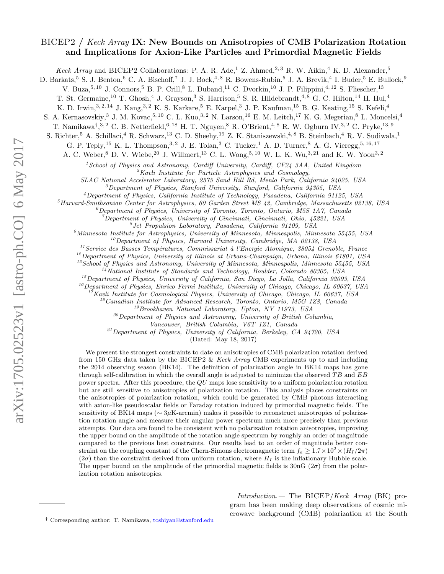#### BICEP2 / Keck Array IX: New Bounds on Anisotropies of CMB Polarization Rotation and Implications for Axion-Like Particles and Primordial Magnetic Fields

Keck Array and BICEP2 Collaborations: P. A. R. Ade,<sup>1</sup> Z. Ahmed,<sup>2,3</sup> R. W. Aikin,<sup>4</sup> K. D. Alexander,<sup>5</sup>

D. Barkats,<sup>5</sup> S. J. Benton,<sup>6</sup> C. A. Bischoff,<sup>7</sup> J. J. Bock,<sup>4,8</sup> R. Bowens-Rubin,<sup>5</sup> J. A. Brevik,<sup>4</sup> I. Buder,<sup>5</sup> E. Bullock,<sup>9</sup>

V. Buza, <sup>5, 10</sup> J. Connors, <sup>5</sup> B. P. Crill, <sup>8</sup> L. Duband, <sup>11</sup> C. Dvorkin, <sup>10</sup> J. P. Filippini, <sup>4, 12</sup> S. Fliescher, <sup>13</sup>

T. St. Germaine,<sup>10</sup> T. Ghosh,<sup>4</sup> J. Grayson,<sup>3</sup> S. Harrison,<sup>5</sup> S. R. Hildebrandt,<sup>4, 8</sup> G. C. Hilton,<sup>14</sup> H. Hui,<sup>4</sup>

K. D. Irwin,<sup>3, 2, 14</sup> J. Kang,<sup>3, 2</sup> K. S. Karkare,<sup>5</sup> E. Karpel,<sup>3</sup> J. P. Kaufman,<sup>15</sup> B. G. Keating,<sup>15</sup> S. Kefeli,<sup>4</sup>

S. A. Kernasovskiy,<sup>3</sup> J. M. Kovac,<sup>5, 10</sup> C. L. Kuo,<sup>3, 2</sup> N. Larson,<sup>16</sup> E. M. Leitch,<sup>17</sup> K. G. Megerian,<sup>8</sup> L. Moncelsi,<sup>4</sup>

T. Namikawa<sup>† 3, 2</sup> C. B. Netterfield, <sup>6, 18</sup> H. T. Nguyen, <sup>8</sup> R. O'Brient, <sup>4, 8</sup> R. W. Ogburn IV, <sup>3, 2</sup> C. Pryke, <sup>13, 9</sup>

S. Richter,<sup>5</sup> A. Schillaci,<sup>4</sup> R. Schwarz,<sup>13</sup> C. D. Sheehy,<sup>19</sup> Z. K. Staniszewski,<sup>4,8</sup> B. Steinbach,<sup>4</sup> R. V. Sudiwala,<sup>1</sup>

G. P. Teply,<sup>15</sup> K. L. Thompson,<sup>3, 2</sup> J. E. Tolan,<sup>3</sup> C. Tucker,<sup>1</sup> A. D. Turner,<sup>8</sup> A. G. Vieregg,<sup>5, 16, 17</sup>

A. C. Weber,  $8$  D. V. Wiebe,  $20$  J. Willmert,  $13$  C. L. Wong,  $5, 10$  W. L. K. Wu,  $3, 21$  and K. W. Yoon<sup>3, 2</sup>

 $1$ School of Physics and Astronomy, Cardiff University, Cardiff, CF24 3AA, United Kingdom

 ${}^{2}$ Kavli Institute for Particle Astrophysics and Cosmology,

SLAC National Accelerator Laboratory, 2575 Sand Hill Rd, Menlo Park, California 94025, USA

 ${}^{3}$ Department of Physics, Stanford University, Stanford, California 94305, USA

<sup>4</sup>Department of Physics, California Institute of Technology, Pasadena, California 91125, USA

<sup>5</sup>Harvard-Smithsonian Center for Astrophysics, 60 Garden Street MS 42, Cambridge, Massachusetts 02138, USA

 ${}^6$ Department of Physics, University of Toronto, Toronto, Ontario, M5S 1A7, Canada

 $^7$ Department of Physics, University of Cincinnati, Cincinnati, Ohio, 45221, USA

8 Jet Propulsion Laboratory, Pasadena, California 91109, USA

 $\mathcal{P}$ Minnesota Institute for Astrophysics, University of Minnesota, Minneapolis, Minnesota 55455, USA

 $^{10}$ Department of Physics, Harvard University, Cambridge, MA 02138, USA

 $11$ Service des Basses Températures, Commissariat à l'Energie Atomique, 38054 Grenoble, France

 $12$ Department of Physics, University of Illinois at Urbana-Champaign, Urbana, Illinois 61801, USA

 $^{13}$ School of Physics and Astronomy, University of Minnesota, Minneapolis, Minnesota 55455, USA

 $14$ National Institute of Standards and Technology, Boulder, Colorado 80305, USA

 $^{15}$ Department of Physics, University of California, San Diego, La Jolla, California 92093, USA

 $16$ Department of Physics, Enrico Fermi Institute, University of Chicago, Chicago, IL 60637, USA

 $1^{7}$ Kavli Institute for Cosmological Physics, University of Chicago, Chicago, IL 60637, USA

 $^{18}$ Canadian Institute for Advanced Research, Toronto, Ontario, M5G 1Z8, Canada

<sup>19</sup>Brookhaven National Laboratory, Upton, NY 11973, USA

 $^{20}$ Department of Physics and Astronomy, University of British Columbia,

Vancouver, British Columbia, V6T 1Z1, Canada

 $21$ Department of Physics, University of California, Berkeley, CA 94720, USA

(Dated: May 18, 2017)

We present the strongest constraints to date on anisotropies of CMB polarization rotation derived from 150 GHz data taken by the BICEP2 & Keck Array CMB experiments up to and including the 2014 observing season (BK14). The definition of polarization angle in BK14 maps has gone through self-calibration in which the overall angle is adjusted to minimize the observed  $TB$  and  $EB$ power spectra. After this procedure, the QU maps lose sensitivity to a uniform polarization rotation but are still sensitive to anisotropies of polarization rotation. This analysis places constraints on the anisotropies of polarization rotation, which could be generated by CMB photons interacting with axion-like pseudoscalar fields or Faraday rotation induced by primordial magnetic fields. The sensitivity of BK14 maps ( $\sim 3\mu$ K-arcmin) makes it possible to reconstruct anisotropies of polarization rotation angle and measure their angular power spectrum much more precisely than previous attempts. Our data are found to be consistent with no polarization rotation anisotropies, improving the upper bound on the amplitude of the rotation angle spectrum by roughly an order of magnitude compared to the previous best constraints. Our results lead to an order of magnitude better constraint on the coupling constant of the Chern-Simons electromagnetic term  $f_a \geq 1.7 \times 10^2 \times (H_I/2\pi)$  $(2\sigma)$  than the constraint derived from uniform rotation, where  $H_I$  is the inflationary Hubble scale. The upper bound on the amplitude of the primordial magnetic fields is  $30nG(2\sigma)$  from the polarization rotation anisotropies.

> Introduction.— The BICEP/Keck Array (BK) program has been making deep observations of cosmic microwave background (CMB) polarization at the South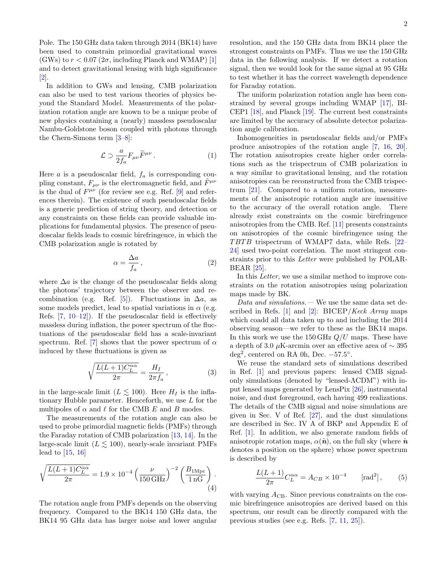Pole. The 150 GHz data taken through 2014 (BK14) have been used to constrain primordial gravitational waves (GWs) to  $r < 0.07$  ( $2\sigma$ , including Planck and WMAP) [\[1\]](#page-6-0) and to detect gravitational lensing with high significance  $|2|$ .

In addition to GWs and lensing, CMB polarization can also be used to test various theories of physics beyond the Standard Model. Measurements of the polarization rotation angle are known to be a unique probe of new physics containing a (nearly) massless pseudoscalar Nambu-Goldstone boson coupled with photons through the Chern-Simons term [\[3–](#page-6-2)[8\]](#page-6-3):

$$
\mathcal{L} \supset \frac{a}{2f_a} F_{\mu\nu} \widetilde{F}^{\mu\nu} \,. \tag{1}
$$

Here  $a$  is a pseudoscalar field,  $f_a$  is corresponding coupling constant,  $F_{\mu\nu}$  is the electromagnetic field, and  $\tilde{F}^{\mu\nu}$ is the dual of  $F^{\mu\nu}$  (for review see e.g. Ref. [\[9\]](#page-6-4) and references therein). The existence of such pseudoscalar fields is a generic prediction of string theory, and detection or any constraints on these fields can provide valuable implications for fundamental physics. The presence of pseudoscalar fields leads to cosmic birefringence, in which the CMB polarization angle is rotated by

$$
\alpha = \frac{\Delta a}{f_a},\tag{2}
$$

where  $\Delta a$  is the change of the pseudoscalar fields along the photons' trajectory between the observer and re-combination (e.g. Ref. [\[5\]](#page-6-5)). Fluctuations in  $\Delta a$ , as some models predict, lead to spatial variations in  $\alpha$  (e.g. Refs.  $[7, 10-12]$  $[7, 10-12]$  $[7, 10-12]$  $[7, 10-12]$ . If the pseudoscalar field is effectively massless during inflation, the power spectrum of the fluctuations of the pseudoscalar field has a scale-invariant spectrum. Ref. [\[7\]](#page-6-6) shows that the power spectrum of  $\alpha$ induced by these fluctuations is given as

$$
\sqrt{\frac{L(L+1)C_L^{\alpha\alpha}}{2\pi}} = \frac{H_I}{2\pi f_a},\qquad(3)
$$

in the large-scale limit ( $L \lesssim 100$ ). Here  $H_I$  is the inflationary Hubble parameter. Henceforth, we use  $L$  for the multipoles of  $\alpha$  and  $\ell$  for the CMB E and B modes.

The measurements of the rotation angle can also be used to probe primordial magnetic fields (PMFs) through the Faraday rotation of CMB polarization [\[13,](#page-6-9) [14\]](#page-6-10). In the large-scale limit  $(L \leq 100)$ , nearly-scale invariant PMFs lead to [\[15,](#page-6-11) [16\]](#page-6-12)

$$
\sqrt{\frac{L(L+1)C_L^{\alpha\alpha}}{2\pi}} = 1.9 \times 10^{-4} \left(\frac{\nu}{150 \,\text{GHz}}\right)^{-2} \left(\frac{B_{1 \text{Mpc}}}{1 \,\text{nG}}\right). \tag{4}
$$

The rotation angle from PMFs depends on the observing frequency. Compared to the BK14 150 GHz data, the BK14 95 GHz data has larger noise and lower angular resolution, and the 150 GHz data from BK14 place the strongest constraints on PMFs. Thus we use the 150 GHz data in the following analysis. If we detect a rotation signal, then we would look for the same signal at 95 GHz to test whether it has the correct wavelength dependence for Faraday rotation.

The uniform polarization rotation angle has been constrained by several groups including WMAP [\[17\]](#page-6-13), BI-CEP1 [\[18\]](#page-6-14), and Planck [\[19\]](#page-6-15). The current best constraints are limited by the accuracy of absolute detector polarization angle calibration.

Inhomogeneities in pseudoscalar fields and/or PMFs produce anisotropies of the rotation angle [\[7,](#page-6-6) [16,](#page-6-12) [20\]](#page-6-16). The rotation anisotropies create higher order correlations such as the trispectrum of CMB polarization in a way similar to gravitational lensing, and the rotation anisotropies can be reconstructed from the CMB trispectrum [\[21\]](#page-6-17). Compared to a uniform rotation, measurements of the anisotropic rotation angle are insensitive to the accuracy of the overall rotation angle. There already exist constraints on the cosmic birefringence anisotropies from the CMB. Ref. [\[11\]](#page-6-18) presents constraints on anisotropies of the cosmic birefringence using the  $TBTB$  trispectrum of WMAP7 data, while Refs.  $[22-$ [24\]](#page-6-20) used two-point correlation. The most stringent constraints prior to this Letter were published by POLAR-BEAR [\[25\]](#page-6-21).

In this *Letter*, we use a similar method to improve constraints on the rotation anisotropies using polarization maps made by BK.

Data and simulations.— We use the same data set described in Refs.  $[1]$  and  $[2]$ : BICEP/Keck Array maps which coadd all data taken up to and including the 2014 observing season—we refer to these as the BK14 maps. In this work we use the 150 GHz  $Q/U$  maps. These have a depth of 3.0 µK-arcmin over an effective area of  $\sim$  395  $\text{deg}^2$ , centered on RA 0h, Dec.  $-57.5^\circ$ .

We reuse the standard sets of simulations described in Ref. [\[1\]](#page-6-0) and previous papers: lensed CMB signalonly simulations (denoted by "lensed-ΛCDM") with input lensed maps generated by LensPix [\[26\]](#page-6-22), instrumental noise, and dust foreground, each having 499 realizations. The details of the CMB signal and noise simulations are given in Sec. V of Ref. [\[27\]](#page-6-23), and the dust simulations are described in Sec. IV A of BKP and Appendix E of Ref. [\[1\]](#page-6-0). In addition, we also generate random fields of anisotropic rotation maps,  $\alpha(\hat{n})$ , on the full sky (where  $\hat{n}$ denotes a position on the sphere) whose power spectrum is described by

<span id="page-2-0"></span>
$$
\frac{L(L+1)}{2\pi}C_L^{\alpha\alpha} = A_{CB} \times 10^{-4} \qquad \text{[rad}^2\text{]},\qquad (5)
$$

with varying  $A_{\rm CB}$ . Since previous constraints on the cosmic birefringence anisotropies are derived based on this spectrum, our result can be directly compared with the previous studies (see e.g. Refs. [\[7,](#page-6-6) [11,](#page-6-18) [25\]](#page-6-21)).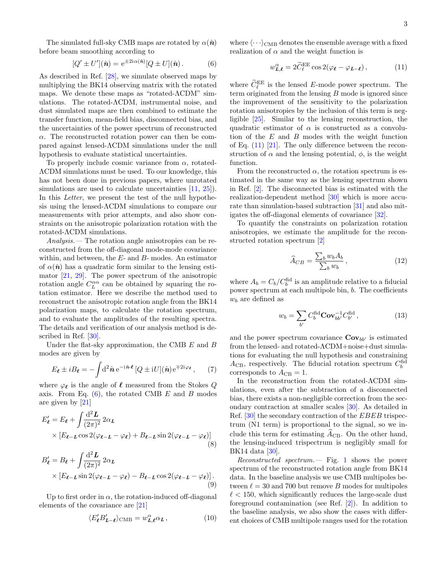The simulated full-sky CMB maps are rotated by  $\alpha(\hat{n})$ before beam smoothing according to

$$
[Q' \pm U'](\hat{\boldsymbol{n}}) = e^{\pm 2i\alpha(\hat{\boldsymbol{n}})}[Q \pm U](\hat{\boldsymbol{n}}).
$$
 (6)

As described in Ref. [\[28\]](#page-6-24), we simulate observed maps by multiplying the BK14 observing matrix with the rotated maps. We denote these maps as "rotated-ΛCDM" simulations. The rotated-ΛCDM, instrumental noise, and dust simulated maps are then combined to estimate the transfer function, mean-field bias, disconnected bias, and the uncertainties of the power spectrum of reconstructed  $\alpha$ . The reconstructed rotation power can then be compared against lensed-ΛCDM simulations under the null hypothesis to evaluate statistical uncertainties.

To properly include cosmic variance from  $\alpha$ , rotated-ΛCDM simulations must be used. To our knowledge, this has not been done in previous papers, where unrotated simulations are used to calculate uncertainties  $[11, 25]$  $[11, 25]$  $[11, 25]$ . In this Letter, we present the test of the null hypothesis using the lensed-ΛCDM simulations to compare our measurements with prior attempts, and also show constraints on the anisotropic polarization rotation with the rotated-ΛCDM simulations.

Analysis.— The rotation angle anisotropies can be reconstructed from the off-diagonal mode-mode covariance within, and between, the  $E$ - and  $B$ - modes. An estimator of  $\alpha(\hat{\mathbf{n}})$  has a quadratic form similar to the lensing estimator [\[21,](#page-6-17) [29\]](#page-6-25). The power spectrum of the anisotropic rotation angle  $C_L^{\alpha\alpha}$  can be obtained by squaring the rotation estimator. Here we describe the method used to reconstruct the anisotropic rotation angle from the BK14 polarization maps, to calculate the rotation spectrum, and to evaluate the amplitudes of the resulting spectra. The details and verification of our analysis method is described in Ref. [\[30\]](#page-6-26).

Under the flat-sky approximation, the CMB  $E$  and  $B$ modes are given by

$$
E_{\ell} \pm iB_{\ell} = -\int d^2 \hat{\boldsymbol{n}} e^{-i\hat{\boldsymbol{n}} \cdot \ell} \left[ Q \pm iU \right](\hat{\boldsymbol{n}}) e^{\mp 2i\varphi_{\ell}}, \qquad (7)
$$

where  $\varphi_{\ell}$  is the angle of  $\ell$  measured from the Stokes  $Q$ axis. From Eq.  $(6)$ , the rotated CMB E and B modes are given by [\[21\]](#page-6-17)

$$
E'_{\ell} = E_{\ell} + \int \frac{\mathrm{d}^2 L}{(2\pi)^2} 2\alpha_L
$$
  
 
$$
\times \left[ E_{\ell - L} \cos 2(\varphi_{\ell - L} - \varphi_{\ell}) + B_{\ell - L} \sin 2(\varphi_{\ell - L} - \varphi_{\ell}) \right]
$$
 (8)

$$
B'_{\ell} = B_{\ell} + \int \frac{\mathrm{d}^2 L}{(2\pi)^2} 2\alpha_L
$$
  
 
$$
\times \left[ E_{\ell-L} \sin 2(\varphi_{\ell-L} - \varphi_{\ell}) - B_{\ell-L} \cos 2(\varphi_{\ell-L} - \varphi_{\ell}) \right].
$$
  
(9)

Up to first order in  $\alpha$ , the rotation-induced off-diagonal elements of the covariance are [\[21\]](#page-6-17)

$$
\langle E'_{\ell} B'_{L-\ell} \rangle_{\text{CMB}} = w_{L,\ell}^{\alpha} \alpha_L, \qquad (10)
$$

<span id="page-3-0"></span>where  $\langle \cdot \cdot \cdot \rangle_{\text{CMB}}$  denotes the ensemble average with a fixed realization of  $\alpha$  and the weight function is

<span id="page-3-1"></span>
$$
w_{\mathbf{L},\boldsymbol{\ell}}^{\alpha} = 2\widetilde{C}_{\ell}^{\text{EE}}\cos 2(\varphi_{\boldsymbol{\ell}} - \varphi_{\mathbf{L}-\boldsymbol{\ell}}),\tag{11}
$$

where  $\widetilde{C}_{\ell}^{\text{EE}}$  is the lensed E-mode power spectrum. The term originated from the lensing B mode is ignored since the improvement of the sensitivity to the polarization rotation anisotropies by the inclusion of this term is negligible [\[25\]](#page-6-21). Similar to the lensing reconstruction, the quadratic estimator of  $\alpha$  is constructed as a convolution of the  $E$  and  $B$  modes with the weight function of Eq.  $(11)$  [\[21\]](#page-6-17). The only difference between the reconstruction of  $\alpha$  and the lensing potential,  $\phi$ , is the weight function.

From the reconstructed  $\alpha$ , the rotation spectrum is estimated in the same way as the lensing spectrum shown in Ref. [\[2\]](#page-6-1). The disconnected bias is estimated with the realization-dependent method [\[30\]](#page-6-26) which is more accurate than simulation-based subtraction [\[31\]](#page-6-27) and also mitigates the off-diagonal elements of covariance [\[32\]](#page-6-28).

To quantify the constraints on polarization rotation anisotropies, we estimate the amplitude for the reconstructed rotation spectrum [\[2\]](#page-6-1)

<span id="page-3-2"></span>
$$
\widehat{A}_{CB} = \frac{\sum_{b} w_b A_b}{\sum_{b} w_b},\tag{12}
$$

where  $A_b = C_b/C_b^{\text{fid}}$  is an amplitude relative to a fiducial power spectrum at each multipole bin, b. The coefficients  $w_b$  are defined as

$$
w_b = \sum_{b'} C_b^{\text{fid}} \mathbf{Cov}_{bb'}^{-1} C_{b'}^{\text{fid}}, \tag{13}
$$

and the power spectrum covariance  $\mathbf{Cov}_{bb'}$  is estimated from the lensed- and rotated-ΛCDM+noise+dust simulations for evaluating the null hypothesis and constraining  $A_{\text{CB}}$ , respectively. The fiducial rotation spectrum  $C_b^{\text{fid}}$ corresponds to  $A_{\rm CB} = 1$ .

In the reconstruction from the rotated-ΛCDM simulations, even after the subtraction of a disconnected bias, there exists a non-negligible correction from the secondary contraction at smaller scales [\[30\]](#page-6-26). As detailed in Ref. [\[30\]](#page-6-26) the secondary contraction of the EBEB trispectrum (N1 term) is proportional to the signal, so we include this term for estimating  $\widehat{A}_{\text{CB}}$ . On the other hand, the lensing-induced trispectrum is negligibly small for BK14 data [\[30\]](#page-6-26).

Reconstructed spectrum.— Fig. [1](#page-4-0) shows the power spectrum of the reconstructed rotation angle from BK14 data. In the baseline analysis we use CMB multipoles between  $\ell = 30$  and 700 but remove B modes for multipoles  $\ell$  < 150, which significantly reduces the large-scale dust foreground contamination (see Ref. [\[2\]](#page-6-1)). In addition to the baseline analysis, we also show the cases with different choices of CMB multipole ranges used for the rotation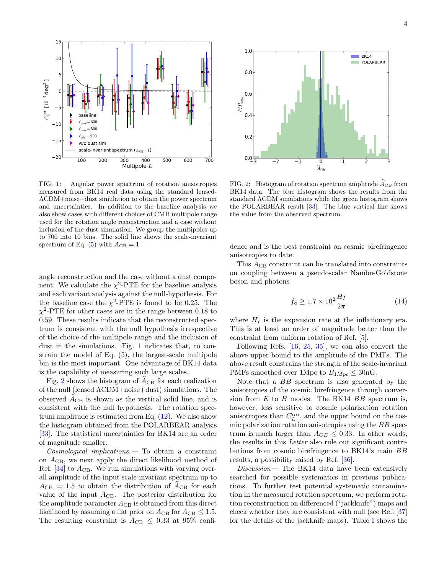

<span id="page-4-0"></span>FIG. 1: Angular power spectrum of rotation anisotropies measured from BK14 real data using the standard lensed-ΛCDM+noise+dust simulation to obtain the power spectrum and uncertainties. In addition to the baseline analysis we also show cases with different choices of CMB multipole range used for the rotation angle reconstruction and a case without inclusion of the dust simulation. We group the multipoles up to 700 into 10 bins. The solid line shows the scale-invariant spectrum of Eq.  $(5)$  with  $A_{CB} = 1$ .

angle reconstruction and the case without a dust component. We calculate the  $\chi^2$ -PTE for the baseline analysis and each variant analysis against the null-hypothesis. For the baseline case the  $\chi^2$ -PTE is found to be 0.25. The  $\chi^2$ -PTE for other cases are in the range between 0.18 to 0.59. These results indicate that the reconstructed spectrum is consistent with the null hypothesis irrespective of the choice of the multipole range and the inclusion of dust in the simulations. Fig. [1](#page-4-0) indicates that, to constrain the model of Eq. [\(5\)](#page-2-0), the largest-scale multipole bin is the most important. One advantage of BK14 data is the capability of measuring such large scales.

Fig. [2](#page-4-1) shows the histogram of  $A_{\text{CB}}$  for each realization of the null (lensed ΛCDM+noise+dust) simulations. The observed  $A_{\text{CB}}$  is shown as the vertical solid line, and is consistent with the null hypothesis. The rotation spectrum amplitude is estimated from Eq.  $(12)$ . We also show the histogram obtained from the POLARBEAR analysis [\[33\]](#page-6-29). The statistical uncertainties for BK14 are an order of magnitude smaller.

Cosmological implications.— To obtain a constraint on  $A_{\rm CB}$ , we next apply the direct likelihood method of Ref.  $[34]$  to  $A_{\rm CB}$ . We run simulations with varying overall amplitude of the input scale-invariant spectrum up to  $A_{\text{CB}} = 1.5$  to obtain the distribution of  $\ddot{A}_{\text{CB}}$  for each value of the input  $A_{\rm CB}$ . The posterior distribution for the amplitude parameter  $A_{\text{CB}}$  is obtained from this direct likelihood by assuming a flat prior on  $A_{\rm CB}$  for  $A_{\rm CB} \leq 1.5$ . The resulting constraint is  $A_{\rm CB} \leq 0.33$  at 95% confi-



<span id="page-4-1"></span>FIG. 2: Histogram of rotation spectrum amplitude  $\widehat{A}_{\text{CB}}$  from BK14 data. The blue histogram shows the results from the standard ΛCDM simulations while the green histogram shows the POLARBEAR result [\[33\]](#page-6-29). The blue vertical line shows the value from the observed spectrum.

dence and is the best constraint on cosmic birefringence anisotropies to date.

This  $A_{\rm CB}$  constraint can be translated into constraints on coupling between a pseudoscalar Nambu-Goldstone boson and photons

$$
f_a \ge 1.7 \times 10^2 \frac{H_I}{2\pi} \tag{14}
$$

where  $H_I$  is the expansion rate at the inflationary era. This is at least an order of magnitude better than the constraint from uniform rotation of Ref. [\[5\]](#page-6-5).

Following Refs. [\[16,](#page-6-12) [25,](#page-6-21) [35\]](#page-6-31), we can also convert the above upper bound to the amplitude of the PMFs. The above result constrains the strength of the scale-invariant PMFs smoothed over 1Mpc to  $B_{1Mpc} \leq 30 \text{nG}$ .

Note that a BB spectrum is also generated by the anisotropies of the cosmic birefringence through conversion from  $E$  to  $B$  modes. The BK14  $BB$  spectrum is, however, less sensitive to cosmic polarization rotation anisotropies than  $C_L^{\alpha\alpha}$ , and the upper bound on the cosmic polarization rotation anisotropies using the BB spectrum is much larger than  $A_{CB} \leq 0.33$ . In other words, the results in this Letter also rule out significant contributions from cosmic birefringence to BK14's main BB results, a possibility raised by Ref. [\[36\]](#page-6-32).

Discussion— The BK14 data have been extensively searched for possible systematics in previous publications. To further test potential systematic contamination in the measured rotation spectrum, we perform rotation reconstruction on differenced ("jackknife") maps and check whether they are consistent with null (see Ref. [\[37\]](#page-6-33) for the details of the jackknife maps). Table [I](#page-5-0) shows the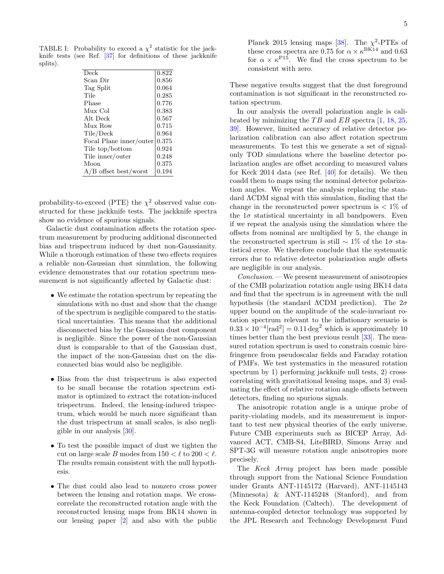TABLE I: Probability to exceed a  $\chi^2$  statistic for the jackknife tests (see Ref. [\[37\]](#page-6-33) for definitions of these jackknife splits).

<span id="page-5-0"></span>

| Deck                    | 0.822 |
|-------------------------|-------|
| Scan Dir                | 0.856 |
| Tag Split               | 0.064 |
| Tile                    | 0.285 |
| Phase                   | 0.776 |
| Mux Col                 | 0.383 |
| Alt Deck                | 0.567 |
| Mux Row                 | 0.715 |
| Tile/Deck               | 0.964 |
| Focal Plane inner/outer | 0.375 |
| Tile top/bottom         | 0.924 |
| Tile inner/outer        | 0.248 |
| Moon                    | 0.375 |
| $A/B$ offset best/worst | 0.194 |

probability-to-exceed (PTE) the  $\chi^2$  observed value constructed for these jackknife tests. The jackknife spectra show no evidence of spurious signals.

Galactic dust contamination affects the rotation spectrum measurement by producing additional disconnected bias and trispectrum induced by dust non-Gaussianity. While a thorough estimation of these two effects requires a reliable non-Gaussian dust simulation, the following evidence demonstrates that our rotation spectrum measurement is not significantly affected by Galactic dust:

- We estimate the rotation spectrum by repeating the simulations with no dust and show that the change of the spectrum is negligible compared to the statistical uncertainties. This means that the additional disconnected bias by the Gaussian dust component is negligible. Since the power of the non-Gaussian dust is comparable to that of the Gaussian dust, the impact of the non-Gaussian dust on the disconnected bias would also be negligible.
- Bias from the dust trispectrum is also expected to be small because the rotation spectrum estimator is optimized to extract the rotation-induced trispectrum. Indeed, the lensing-induced trispectrum, which would be much more significant than the dust trispectrum at small scales, is also negligible in our analysis [\[30\]](#page-6-26).
- To test the possible impact of dust we tighten the cut on large scale B modes from  $150 < \ell$  to  $200 < \ell$ . The results remain consistent with the null hypothesis.
- The dust could also lead to nonzero cross power between the lensing and rotation maps. We crosscorrelate the reconstructed rotation angle with the reconstructed lensing maps from BK14 shown in our lensing paper [\[2\]](#page-6-1) and also with the public

Planck 2015 lensing maps [\[38\]](#page-6-34). The  $\chi^2$ -PTEs of these cross spectra are 0.75 for  $\alpha \times \kappa^{\text{BK14}}$  and 0.63 for  $\alpha \times \kappa^{P15}$ . We find the cross spectrum to be consistent with zero.

These negative results suggest that the dust foreground contamination is not significant in the reconstructed rotation spectrum.

In our analysis the overall polarization angle is calibrated by minimizing the  $TB$  and  $EB$  spectra [\[1,](#page-6-0) [18,](#page-6-14) [25,](#page-6-21) [39\]](#page-6-35). However, limited accuracy of relative detector polarization calibration can also affect rotation spectrum measurements. To test this we generate a set of signalonly TOD simulations where the baseline detector polarization angles are offset according to measured values for Keck 2014 data (see Ref. [\[40\]](#page-6-36) for details). We then coadd them to maps using the nominal detector polarization angles. We repeat the analysis replacing the standard ΛCDM signal with this simulation, finding that the change in the reconstructed power spectrum is  $\langle 1\% \rangle$  of the  $1\sigma$  statistical uncertainty in all bandpowers. Even if we repeat the analysis using the simulation where the offsets from nominal are multiplied by 5, the change in the reconstructed spectrum is still  $\sim 1\%$  of the 1 $\sigma$  statistical error. We therefore conclude that the systematic errors due to relative detector polarization angle offsets are negligible in our analysis.

Conclusion.— We present measurement of anisotropies of the CMB polarization rotation angle using BK14 data and find that the spectrum is in agreement with the null hypothesis (the standard  $\Lambda$ CDM prediction). The  $2\sigma$ upper bound on the amplitude of the scale-invariant rotation spectrum relevant to the inflationary scenario is  $0.33 \times 10^{-4}$ [rad<sup>2</sup>] =  $0.11 \text{ deg}^2$  which is approximately 10 times better than the best previous result [\[33\]](#page-6-29). The measured rotation spectrum is used to constrain cosmic birefringence from pseudoscalar fields and Faraday rotation of PMFs. We test systematics in the measured rotation spectrum by 1) performing jackknife null tests, 2) crosscorrelating with gravitational lensing maps, and 3) evaluating the effect of relative rotation angle offsets between detectors, finding no spurious signals.

The anisotropic rotation angle is a unique probe of parity-violating models, and its measurement is important to test new physical theories of the early universe. Future CMB experiments such as BICEP Array, Advanced ACT, CMB-S4, LiteBIRD, Simons Array and SPT-3G will measure rotation angle anisotropies more precisely.

The Keck Array project has been made possible through support from the National Science Foundation under Grants ANT-1145172 (Harvard), ANT-1145143 (Minnesota) & ANT-1145248 (Stanford), and from the Keck Foundation (Caltech). The development of antenna-coupled detector technology was supported by the JPL Research and Technology Development Fund